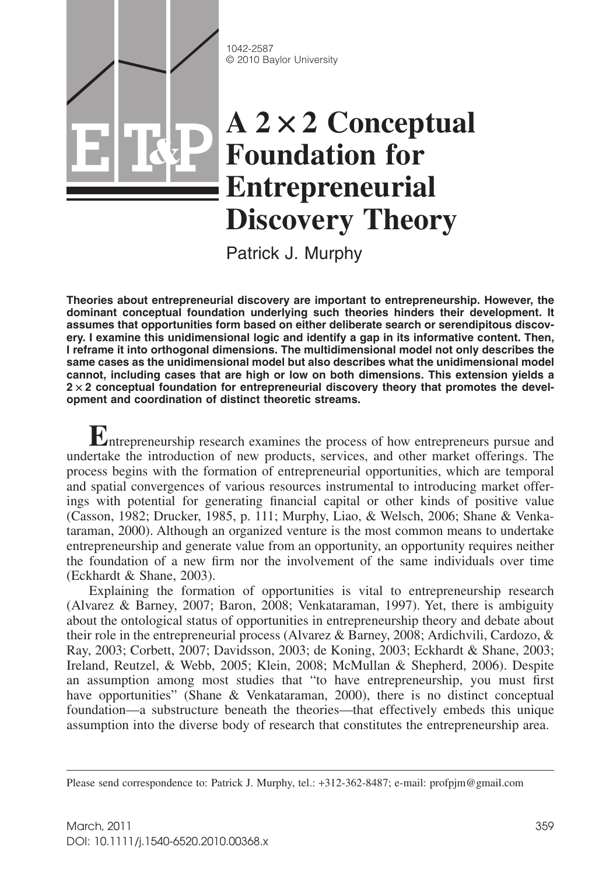

Patrick J. Murphy

**Theories about entrepreneurial discovery are important to entrepreneurship. However, the dominant conceptual foundation underlying such theories hinders their development. It assumes that opportunities form based on either deliberate search or serendipitous discovery. I examine this unidimensional logic and identify a gap in its informative content. Then, I reframe it into orthogonal dimensions. The multidimensional model not only describes the same cases as the unidimensional model but also describes what the unidimensional model cannot, including cases that are high or low on both dimensions. This extension yields a** 2 x 2 conceptual foundation for entrepreneurial discovery theory that promotes the devel**opment and coordination of distinct theoretic streams.**

**E**ntrepreneurship research examines the process of how entrepreneurs pursue and undertake the introduction of new products, services, and other market offerings. The process begins with the formation of entrepreneurial opportunities, which are temporal and spatial convergences of various resources instrumental to introducing market offerings with potential for generating financial capital or other kinds of positive value (Casson, 1982; Drucker, 1985, p. 111; Murphy, Liao, & Welsch, 2006; Shane & Venkataraman, 2000). Although an organized venture is the most common means to undertake entrepreneurship and generate value from an opportunity, an opportunity requires neither the foundation of a new firm nor the involvement of the same individuals over time (Eckhardt & Shane, 2003).

Explaining the formation of opportunities is vital to entrepreneurship research (Alvarez & Barney, 2007; Baron, 2008; Venkataraman, 1997). Yet, there is ambiguity about the ontological status of opportunities in entrepreneurship theory and debate about their role in the entrepreneurial process (Alvarez & Barney, 2008; Ardichvili, Cardozo, & Ray, 2003; Corbett, 2007; Davidsson, 2003; de Koning, 2003; Eckhardt & Shane, 2003; Ireland, Reutzel, & Webb, 2005; Klein, 2008; McMullan & Shepherd, 2006). Despite an assumption among most studies that "to have entrepreneurship, you must first have opportunities" (Shane & Venkataraman, 2000), there is no distinct conceptual foundation—a substructure beneath the theories—that effectively embeds this unique assumption into the diverse body of research that constitutes the entrepreneurship area.

Please send correspondence to: Patrick J. Murphy, tel.: +312-362-8487; e-mail: profpjm@gmail.com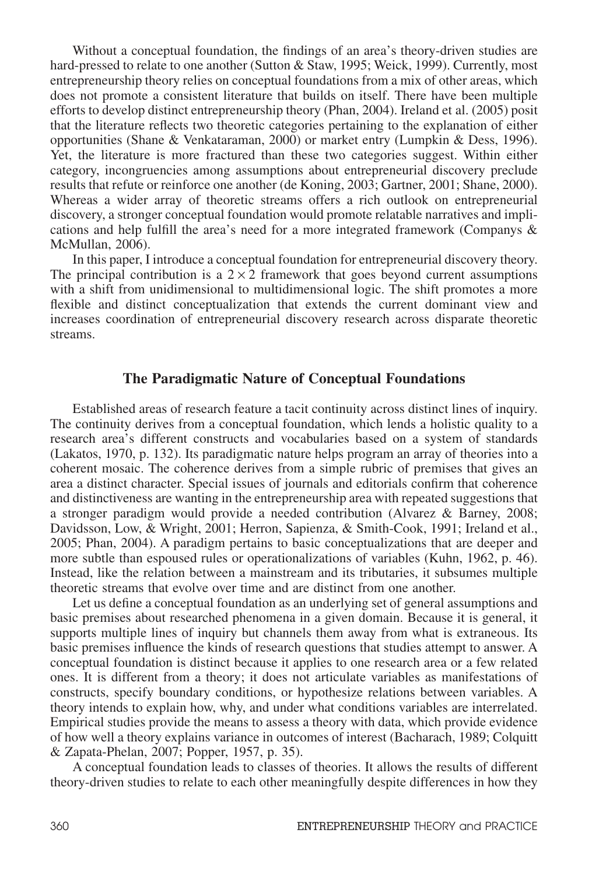Without a conceptual foundation, the findings of an area's theory-driven studies are hard-pressed to relate to one another (Sutton & Staw, 1995; Weick, 1999). Currently, most entrepreneurship theory relies on conceptual foundations from a mix of other areas, which does not promote a consistent literature that builds on itself. There have been multiple efforts to develop distinct entrepreneurship theory (Phan, 2004). Ireland et al. (2005) posit that the literature reflects two theoretic categories pertaining to the explanation of either opportunities (Shane & Venkataraman, 2000) or market entry (Lumpkin & Dess, 1996). Yet, the literature is more fractured than these two categories suggest. Within either category, incongruencies among assumptions about entrepreneurial discovery preclude results that refute or reinforce one another (de Koning, 2003; Gartner, 2001; Shane, 2000). Whereas a wider array of theoretic streams offers a rich outlook on entrepreneurial discovery, a stronger conceptual foundation would promote relatable narratives and implications and help fulfill the area's need for a more integrated framework (Companys  $\&$ McMullan, 2006).

In this paper, I introduce a conceptual foundation for entrepreneurial discovery theory. The principal contribution is a  $2 \times 2$  framework that goes beyond current assumptions with a shift from unidimensional to multidimensional logic. The shift promotes a more flexible and distinct conceptualization that extends the current dominant view and increases coordination of entrepreneurial discovery research across disparate theoretic streams.

# **The Paradigmatic Nature of Conceptual Foundations**

Established areas of research feature a tacit continuity across distinct lines of inquiry. The continuity derives from a conceptual foundation, which lends a holistic quality to a research area's different constructs and vocabularies based on a system of standards (Lakatos, 1970, p. 132). Its paradigmatic nature helps program an array of theories into a coherent mosaic. The coherence derives from a simple rubric of premises that gives an area a distinct character. Special issues of journals and editorials confirm that coherence and distinctiveness are wanting in the entrepreneurship area with repeated suggestions that a stronger paradigm would provide a needed contribution (Alvarez & Barney, 2008; Davidsson, Low, & Wright, 2001; Herron, Sapienza, & Smith-Cook, 1991; Ireland et al., 2005; Phan, 2004). A paradigm pertains to basic conceptualizations that are deeper and more subtle than espoused rules or operationalizations of variables (Kuhn, 1962, p. 46). Instead, like the relation between a mainstream and its tributaries, it subsumes multiple theoretic streams that evolve over time and are distinct from one another.

Let us define a conceptual foundation as an underlying set of general assumptions and basic premises about researched phenomena in a given domain. Because it is general, it supports multiple lines of inquiry but channels them away from what is extraneous. Its basic premises influence the kinds of research questions that studies attempt to answer. A conceptual foundation is distinct because it applies to one research area or a few related ones. It is different from a theory; it does not articulate variables as manifestations of constructs, specify boundary conditions, or hypothesize relations between variables. A theory intends to explain how, why, and under what conditions variables are interrelated. Empirical studies provide the means to assess a theory with data, which provide evidence of how well a theory explains variance in outcomes of interest (Bacharach, 1989; Colquitt & Zapata-Phelan, 2007; Popper, 1957, p. 35).

A conceptual foundation leads to classes of theories. It allows the results of different theory-driven studies to relate to each other meaningfully despite differences in how they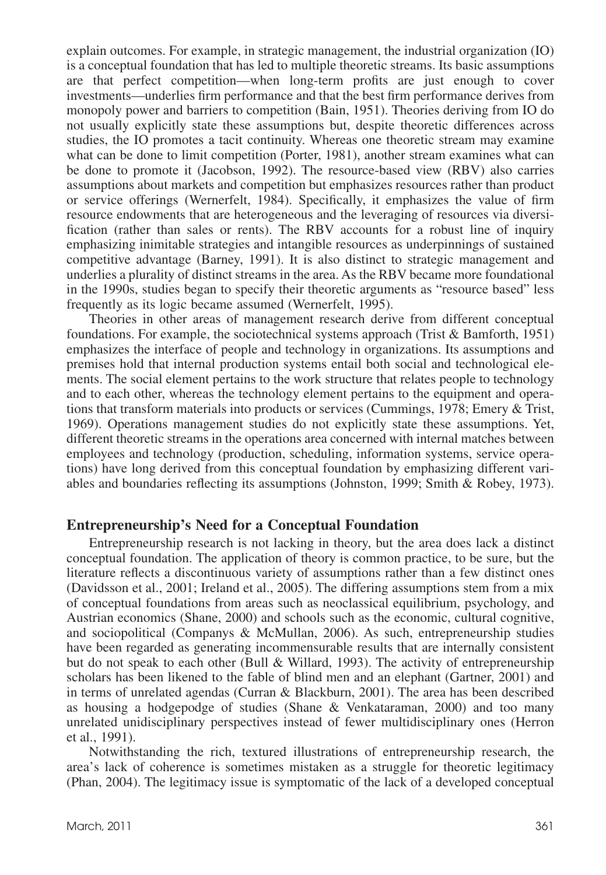explain outcomes. For example, in strategic management, the industrial organization (IO) is a conceptual foundation that has led to multiple theoretic streams. Its basic assumptions are that perfect competition—when long-term profits are just enough to cover investments—underlies firm performance and that the best firm performance derives from monopoly power and barriers to competition (Bain, 1951). Theories deriving from IO do not usually explicitly state these assumptions but, despite theoretic differences across studies, the IO promotes a tacit continuity. Whereas one theoretic stream may examine what can be done to limit competition (Porter, 1981), another stream examines what can be done to promote it (Jacobson, 1992). The resource-based view (RBV) also carries assumptions about markets and competition but emphasizes resources rather than product or service offerings (Wernerfelt, 1984). Specifically, it emphasizes the value of firm resource endowments that are heterogeneous and the leveraging of resources via diversification (rather than sales or rents). The RBV accounts for a robust line of inquiry emphasizing inimitable strategies and intangible resources as underpinnings of sustained competitive advantage (Barney, 1991). It is also distinct to strategic management and underlies a plurality of distinct streams in the area. As the RBV became more foundational in the 1990s, studies began to specify their theoretic arguments as "resource based" less frequently as its logic became assumed (Wernerfelt, 1995).

Theories in other areas of management research derive from different conceptual foundations. For example, the sociotechnical systems approach (Trist & Bamforth, 1951) emphasizes the interface of people and technology in organizations. Its assumptions and premises hold that internal production systems entail both social and technological elements. The social element pertains to the work structure that relates people to technology and to each other, whereas the technology element pertains to the equipment and operations that transform materials into products or services (Cummings, 1978; Emery & Trist, 1969). Operations management studies do not explicitly state these assumptions. Yet, different theoretic streams in the operations area concerned with internal matches between employees and technology (production, scheduling, information systems, service operations) have long derived from this conceptual foundation by emphasizing different variables and boundaries reflecting its assumptions (Johnston, 1999; Smith & Robey, 1973).

# **Entrepreneurship's Need for a Conceptual Foundation**

Entrepreneurship research is not lacking in theory, but the area does lack a distinct conceptual foundation. The application of theory is common practice, to be sure, but the literature reflects a discontinuous variety of assumptions rather than a few distinct ones (Davidsson et al., 2001; Ireland et al., 2005). The differing assumptions stem from a mix of conceptual foundations from areas such as neoclassical equilibrium, psychology, and Austrian economics (Shane, 2000) and schools such as the economic, cultural cognitive, and sociopolitical (Companys & McMullan, 2006). As such, entrepreneurship studies have been regarded as generating incommensurable results that are internally consistent but do not speak to each other (Bull & Willard, 1993). The activity of entrepreneurship scholars has been likened to the fable of blind men and an elephant (Gartner, 2001) and in terms of unrelated agendas (Curran & Blackburn, 2001). The area has been described as housing a hodgepodge of studies (Shane & Venkataraman, 2000) and too many unrelated unidisciplinary perspectives instead of fewer multidisciplinary ones (Herron et al., 1991).

Notwithstanding the rich, textured illustrations of entrepreneurship research, the area's lack of coherence is sometimes mistaken as a struggle for theoretic legitimacy (Phan, 2004). The legitimacy issue is symptomatic of the lack of a developed conceptual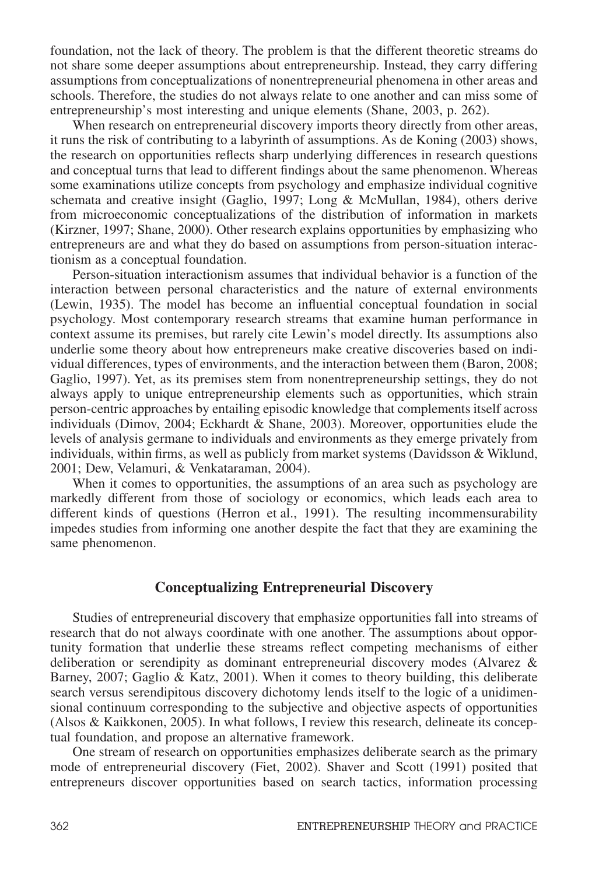foundation, not the lack of theory. The problem is that the different theoretic streams do not share some deeper assumptions about entrepreneurship. Instead, they carry differing assumptions from conceptualizations of nonentrepreneurial phenomena in other areas and schools. Therefore, the studies do not always relate to one another and can miss some of entrepreneurship's most interesting and unique elements (Shane, 2003, p. 262).

When research on entrepreneurial discovery imports theory directly from other areas, it runs the risk of contributing to a labyrinth of assumptions. As de Koning (2003) shows, the research on opportunities reflects sharp underlying differences in research questions and conceptual turns that lead to different findings about the same phenomenon. Whereas some examinations utilize concepts from psychology and emphasize individual cognitive schemata and creative insight (Gaglio, 1997; Long & McMullan, 1984), others derive from microeconomic conceptualizations of the distribution of information in markets (Kirzner, 1997; Shane, 2000). Other research explains opportunities by emphasizing who entrepreneurs are and what they do based on assumptions from person-situation interactionism as a conceptual foundation.

Person-situation interactionism assumes that individual behavior is a function of the interaction between personal characteristics and the nature of external environments (Lewin, 1935). The model has become an influential conceptual foundation in social psychology. Most contemporary research streams that examine human performance in context assume its premises, but rarely cite Lewin's model directly. Its assumptions also underlie some theory about how entrepreneurs make creative discoveries based on individual differences, types of environments, and the interaction between them (Baron, 2008; Gaglio, 1997). Yet, as its premises stem from nonentrepreneurship settings, they do not always apply to unique entrepreneurship elements such as opportunities, which strain person-centric approaches by entailing episodic knowledge that complements itself across individuals (Dimov, 2004; Eckhardt & Shane, 2003). Moreover, opportunities elude the levels of analysis germane to individuals and environments as they emerge privately from individuals, within firms, as well as publicly from market systems (Davidsson & Wiklund, 2001; Dew, Velamuri, & Venkataraman, 2004).

When it comes to opportunities, the assumptions of an area such as psychology are markedly different from those of sociology or economics, which leads each area to different kinds of questions (Herron et al., 1991). The resulting incommensurability impedes studies from informing one another despite the fact that they are examining the same phenomenon.

# **Conceptualizing Entrepreneurial Discovery**

Studies of entrepreneurial discovery that emphasize opportunities fall into streams of research that do not always coordinate with one another. The assumptions about opportunity formation that underlie these streams reflect competing mechanisms of either deliberation or serendipity as dominant entrepreneurial discovery modes (Alvarez & Barney, 2007; Gaglio & Katz, 2001). When it comes to theory building, this deliberate search versus serendipitous discovery dichotomy lends itself to the logic of a unidimensional continuum corresponding to the subjective and objective aspects of opportunities (Alsos & Kaikkonen, 2005). In what follows, I review this research, delineate its conceptual foundation, and propose an alternative framework.

One stream of research on opportunities emphasizes deliberate search as the primary mode of entrepreneurial discovery (Fiet, 2002). Shaver and Scott (1991) posited that entrepreneurs discover opportunities based on search tactics, information processing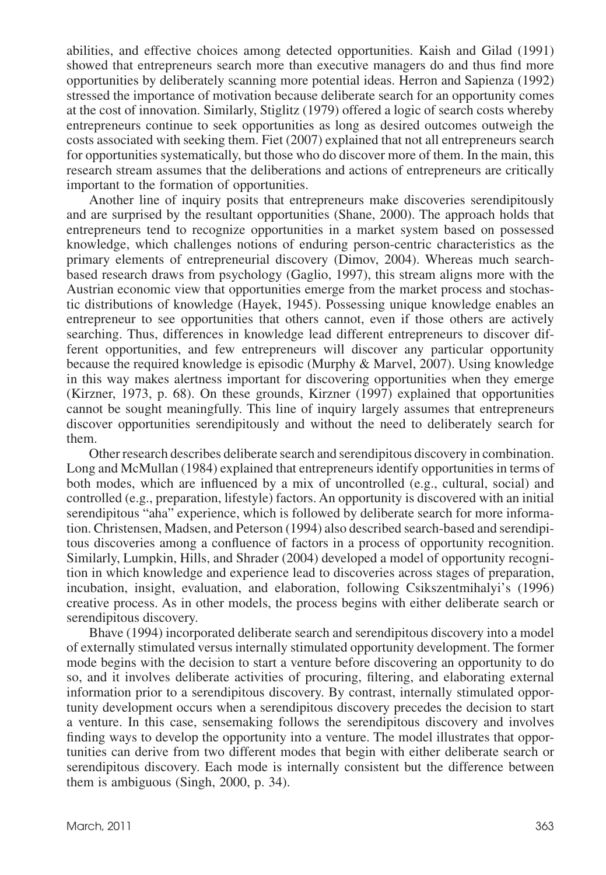abilities, and effective choices among detected opportunities. Kaish and Gilad (1991) showed that entrepreneurs search more than executive managers do and thus find more opportunities by deliberately scanning more potential ideas. Herron and Sapienza (1992) stressed the importance of motivation because deliberate search for an opportunity comes at the cost of innovation. Similarly, Stiglitz (1979) offered a logic of search costs whereby entrepreneurs continue to seek opportunities as long as desired outcomes outweigh the costs associated with seeking them. Fiet (2007) explained that not all entrepreneurs search for opportunities systematically, but those who do discover more of them. In the main, this research stream assumes that the deliberations and actions of entrepreneurs are critically important to the formation of opportunities.

Another line of inquiry posits that entrepreneurs make discoveries serendipitously and are surprised by the resultant opportunities (Shane, 2000). The approach holds that entrepreneurs tend to recognize opportunities in a market system based on possessed knowledge, which challenges notions of enduring person-centric characteristics as the primary elements of entrepreneurial discovery (Dimov, 2004). Whereas much searchbased research draws from psychology (Gaglio, 1997), this stream aligns more with the Austrian economic view that opportunities emerge from the market process and stochastic distributions of knowledge (Hayek, 1945). Possessing unique knowledge enables an entrepreneur to see opportunities that others cannot, even if those others are actively searching. Thus, differences in knowledge lead different entrepreneurs to discover different opportunities, and few entrepreneurs will discover any particular opportunity because the required knowledge is episodic (Murphy & Marvel, 2007). Using knowledge in this way makes alertness important for discovering opportunities when they emerge (Kirzner, 1973, p. 68). On these grounds, Kirzner (1997) explained that opportunities cannot be sought meaningfully. This line of inquiry largely assumes that entrepreneurs discover opportunities serendipitously and without the need to deliberately search for them.

Other research describes deliberate search and serendipitous discovery in combination. Long and McMullan (1984) explained that entrepreneurs identify opportunities in terms of both modes, which are influenced by a mix of uncontrolled (e.g., cultural, social) and controlled (e.g., preparation, lifestyle) factors. An opportunity is discovered with an initial serendipitous "aha" experience, which is followed by deliberate search for more information. Christensen, Madsen, and Peterson (1994) also described search-based and serendipitous discoveries among a confluence of factors in a process of opportunity recognition. Similarly, Lumpkin, Hills, and Shrader (2004) developed a model of opportunity recognition in which knowledge and experience lead to discoveries across stages of preparation, incubation, insight, evaluation, and elaboration, following Csikszentmihalyi's (1996) creative process. As in other models, the process begins with either deliberate search or serendipitous discovery.

Bhave (1994) incorporated deliberate search and serendipitous discovery into a model of externally stimulated versus internally stimulated opportunity development. The former mode begins with the decision to start a venture before discovering an opportunity to do so, and it involves deliberate activities of procuring, filtering, and elaborating external information prior to a serendipitous discovery. By contrast, internally stimulated opportunity development occurs when a serendipitous discovery precedes the decision to start a venture. In this case, sensemaking follows the serendipitous discovery and involves finding ways to develop the opportunity into a venture. The model illustrates that opportunities can derive from two different modes that begin with either deliberate search or serendipitous discovery. Each mode is internally consistent but the difference between them is ambiguous (Singh, 2000, p. 34).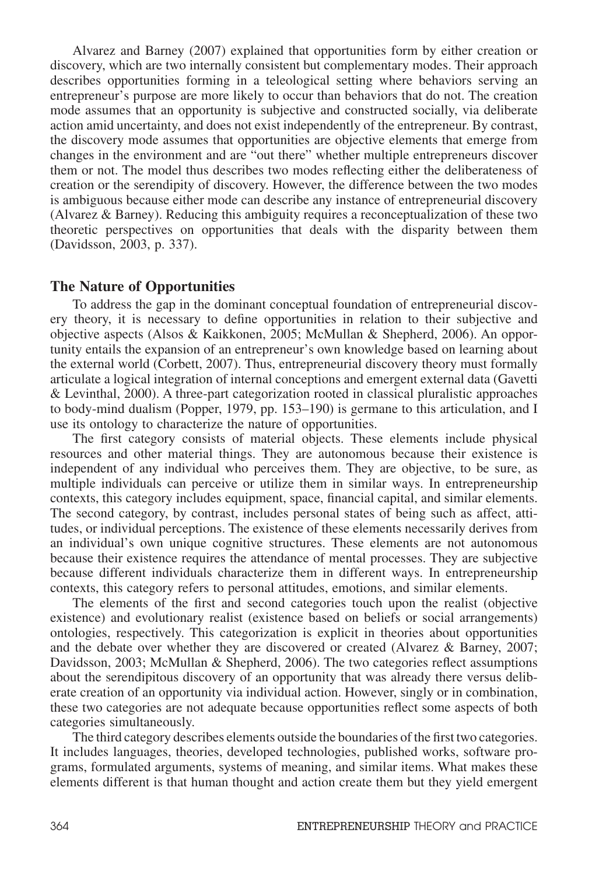Alvarez and Barney (2007) explained that opportunities form by either creation or discovery, which are two internally consistent but complementary modes. Their approach describes opportunities forming in a teleological setting where behaviors serving an entrepreneur's purpose are more likely to occur than behaviors that do not. The creation mode assumes that an opportunity is subjective and constructed socially, via deliberate action amid uncertainty, and does not exist independently of the entrepreneur. By contrast, the discovery mode assumes that opportunities are objective elements that emerge from changes in the environment and are "out there" whether multiple entrepreneurs discover them or not. The model thus describes two modes reflecting either the deliberateness of creation or the serendipity of discovery. However, the difference between the two modes is ambiguous because either mode can describe any instance of entrepreneurial discovery (Alvarez & Barney). Reducing this ambiguity requires a reconceptualization of these two theoretic perspectives on opportunities that deals with the disparity between them (Davidsson, 2003, p. 337).

## **The Nature of Opportunities**

To address the gap in the dominant conceptual foundation of entrepreneurial discovery theory, it is necessary to define opportunities in relation to their subjective and objective aspects (Alsos & Kaikkonen, 2005; McMullan & Shepherd, 2006). An opportunity entails the expansion of an entrepreneur's own knowledge based on learning about the external world (Corbett, 2007). Thus, entrepreneurial discovery theory must formally articulate a logical integration of internal conceptions and emergent external data (Gavetti & Levinthal, 2000). A three-part categorization rooted in classical pluralistic approaches to body-mind dualism (Popper, 1979, pp. 153–190) is germane to this articulation, and I use its ontology to characterize the nature of opportunities.

The first category consists of material objects. These elements include physical resources and other material things. They are autonomous because their existence is independent of any individual who perceives them. They are objective, to be sure, as multiple individuals can perceive or utilize them in similar ways. In entrepreneurship contexts, this category includes equipment, space, financial capital, and similar elements. The second category, by contrast, includes personal states of being such as affect, attitudes, or individual perceptions. The existence of these elements necessarily derives from an individual's own unique cognitive structures. These elements are not autonomous because their existence requires the attendance of mental processes. They are subjective because different individuals characterize them in different ways. In entrepreneurship contexts, this category refers to personal attitudes, emotions, and similar elements.

The elements of the first and second categories touch upon the realist (objective existence) and evolutionary realist (existence based on beliefs or social arrangements) ontologies, respectively. This categorization is explicit in theories about opportunities and the debate over whether they are discovered or created (Alvarez & Barney, 2007; Davidsson, 2003; McMullan & Shepherd, 2006). The two categories reflect assumptions about the serendipitous discovery of an opportunity that was already there versus deliberate creation of an opportunity via individual action. However, singly or in combination, these two categories are not adequate because opportunities reflect some aspects of both categories simultaneously.

The third category describes elements outside the boundaries of the first two categories. It includes languages, theories, developed technologies, published works, software programs, formulated arguments, systems of meaning, and similar items. What makes these elements different is that human thought and action create them but they yield emergent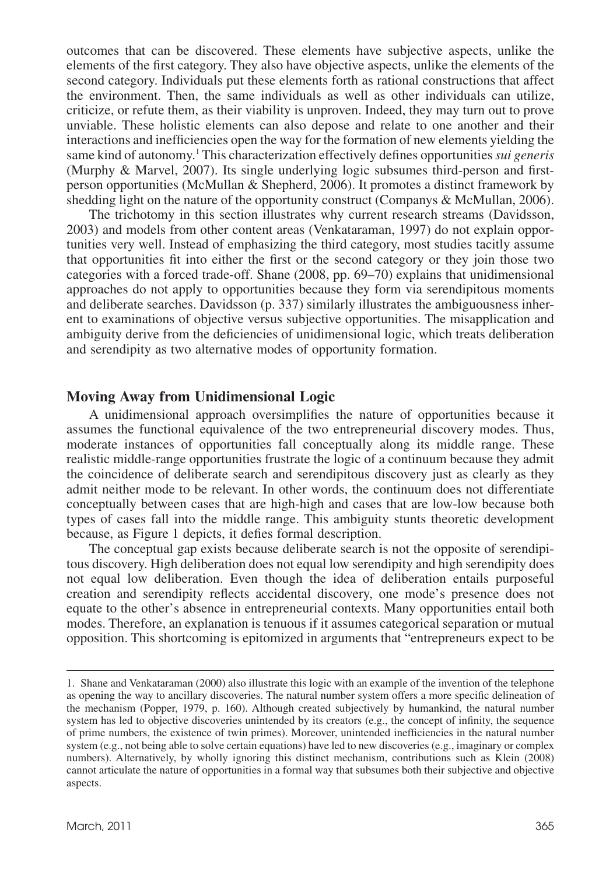outcomes that can be discovered. These elements have subjective aspects, unlike the elements of the first category. They also have objective aspects, unlike the elements of the second category. Individuals put these elements forth as rational constructions that affect the environment. Then, the same individuals as well as other individuals can utilize, criticize, or refute them, as their viability is unproven. Indeed, they may turn out to prove unviable. These holistic elements can also depose and relate to one another and their interactions and inefficiencies open the way for the formation of new elements yielding the same kind of autonomy.1 This characterization effectively defines opportunities*sui generis* (Murphy & Marvel, 2007). Its single underlying logic subsumes third-person and firstperson opportunities (McMullan & Shepherd, 2006). It promotes a distinct framework by shedding light on the nature of the opportunity construct (Companys & McMullan, 2006).

The trichotomy in this section illustrates why current research streams (Davidsson, 2003) and models from other content areas (Venkataraman, 1997) do not explain opportunities very well. Instead of emphasizing the third category, most studies tacitly assume that opportunities fit into either the first or the second category or they join those two categories with a forced trade-off. Shane (2008, pp. 69–70) explains that unidimensional approaches do not apply to opportunities because they form via serendipitous moments and deliberate searches. Davidsson (p. 337) similarly illustrates the ambiguousness inherent to examinations of objective versus subjective opportunities. The misapplication and ambiguity derive from the deficiencies of unidimensional logic, which treats deliberation and serendipity as two alternative modes of opportunity formation.

# **Moving Away from Unidimensional Logic**

A unidimensional approach oversimplifies the nature of opportunities because it assumes the functional equivalence of the two entrepreneurial discovery modes. Thus, moderate instances of opportunities fall conceptually along its middle range. These realistic middle-range opportunities frustrate the logic of a continuum because they admit the coincidence of deliberate search and serendipitous discovery just as clearly as they admit neither mode to be relevant. In other words, the continuum does not differentiate conceptually between cases that are high-high and cases that are low-low because both types of cases fall into the middle range. This ambiguity stunts theoretic development because, as Figure 1 depicts, it defies formal description.

The conceptual gap exists because deliberate search is not the opposite of serendipitous discovery. High deliberation does not equal low serendipity and high serendipity does not equal low deliberation. Even though the idea of deliberation entails purposeful creation and serendipity reflects accidental discovery, one mode's presence does not equate to the other's absence in entrepreneurial contexts. Many opportunities entail both modes. Therefore, an explanation is tenuous if it assumes categorical separation or mutual opposition. This shortcoming is epitomized in arguments that "entrepreneurs expect to be

<sup>1.</sup> Shane and Venkataraman (2000) also illustrate this logic with an example of the invention of the telephone as opening the way to ancillary discoveries. The natural number system offers a more specific delineation of the mechanism (Popper, 1979, p. 160). Although created subjectively by humankind, the natural number system has led to objective discoveries unintended by its creators (e.g., the concept of infinity, the sequence of prime numbers, the existence of twin primes). Moreover, unintended inefficiencies in the natural number system (e.g., not being able to solve certain equations) have led to new discoveries (e.g., imaginary or complex numbers). Alternatively, by wholly ignoring this distinct mechanism, contributions such as Klein (2008) cannot articulate the nature of opportunities in a formal way that subsumes both their subjective and objective aspects.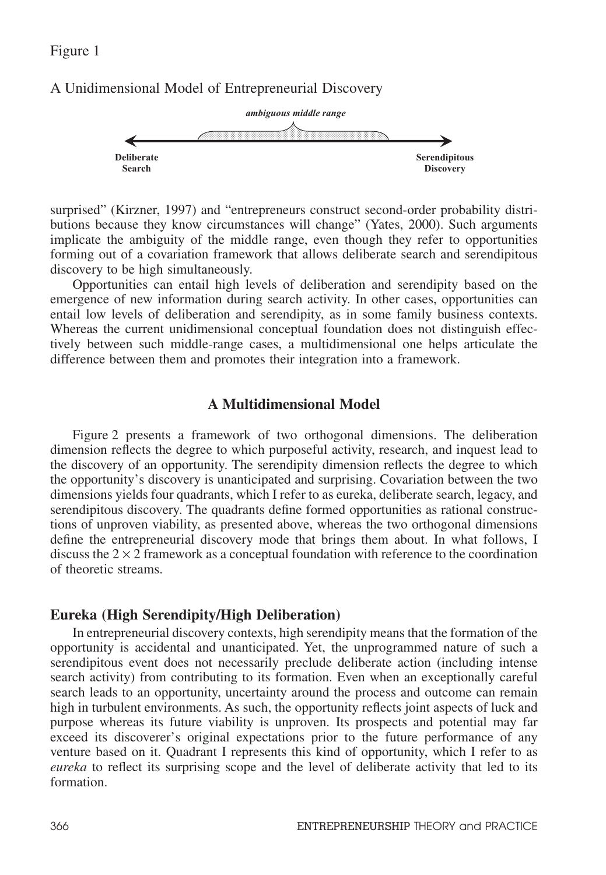### Figure 1

A Unidimensional Model of Entrepreneurial Discovery



surprised" (Kirzner, 1997) and "entrepreneurs construct second-order probability distributions because they know circumstances will change" (Yates, 2000). Such arguments implicate the ambiguity of the middle range, even though they refer to opportunities forming out of a covariation framework that allows deliberate search and serendipitous discovery to be high simultaneously.

Opportunities can entail high levels of deliberation and serendipity based on the emergence of new information during search activity. In other cases, opportunities can entail low levels of deliberation and serendipity, as in some family business contexts. Whereas the current unidimensional conceptual foundation does not distinguish effectively between such middle-range cases, a multidimensional one helps articulate the difference between them and promotes their integration into a framework.

# **A Multidimensional Model**

Figure 2 presents a framework of two orthogonal dimensions. The deliberation dimension reflects the degree to which purposeful activity, research, and inquest lead to the discovery of an opportunity. The serendipity dimension reflects the degree to which the opportunity's discovery is unanticipated and surprising. Covariation between the two dimensions yields four quadrants, which I refer to as eureka, deliberate search, legacy, and serendipitous discovery. The quadrants define formed opportunities as rational constructions of unproven viability, as presented above, whereas the two orthogonal dimensions define the entrepreneurial discovery mode that brings them about. In what follows, I discuss the  $2 \times 2$  framework as a conceptual foundation with reference to the coordination of theoretic streams.

### **Eureka (High Serendipity/High Deliberation)**

In entrepreneurial discovery contexts, high serendipity means that the formation of the opportunity is accidental and unanticipated. Yet, the unprogrammed nature of such a serendipitous event does not necessarily preclude deliberate action (including intense search activity) from contributing to its formation. Even when an exceptionally careful search leads to an opportunity, uncertainty around the process and outcome can remain high in turbulent environments. As such, the opportunity reflects joint aspects of luck and purpose whereas its future viability is unproven. Its prospects and potential may far exceed its discoverer's original expectations prior to the future performance of any venture based on it. Quadrant I represents this kind of opportunity, which I refer to as *eureka* to reflect its surprising scope and the level of deliberate activity that led to its formation.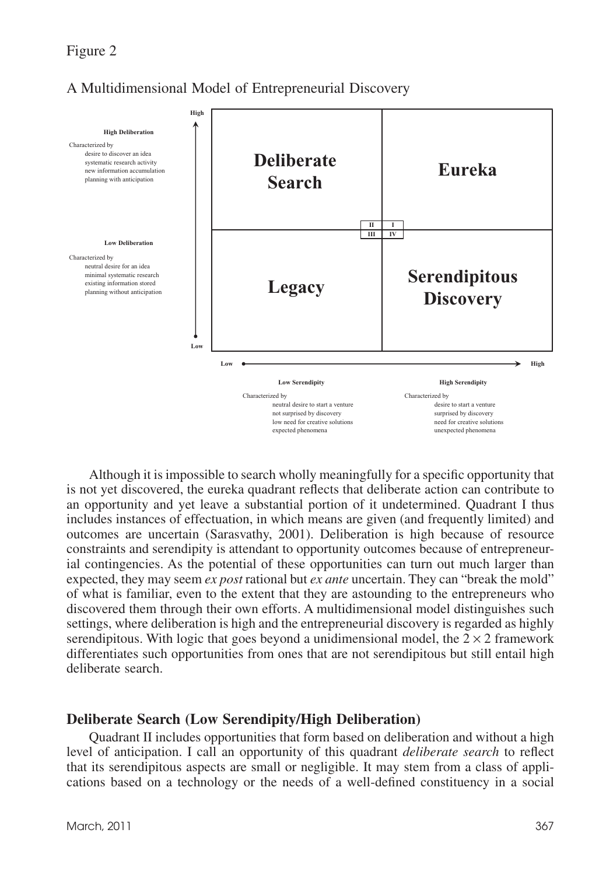# Figure 2

# A Multidimensional Model of Entrepreneurial Discovery



Although it is impossible to search wholly meaningfully for a specific opportunity that is not yet discovered, the eureka quadrant reflects that deliberate action can contribute to an opportunity and yet leave a substantial portion of it undetermined. Quadrant I thus includes instances of effectuation, in which means are given (and frequently limited) and outcomes are uncertain (Sarasvathy, 2001). Deliberation is high because of resource constraints and serendipity is attendant to opportunity outcomes because of entrepreneurial contingencies. As the potential of these opportunities can turn out much larger than expected, they may seem *ex post* rational but *ex ante* uncertain. They can "break the mold" of what is familiar, even to the extent that they are astounding to the entrepreneurs who discovered them through their own efforts. A multidimensional model distinguishes such settings, where deliberation is high and the entrepreneurial discovery is regarded as highly serendipitous. With logic that goes beyond a unidimensional model, the  $2 \times 2$  framework differentiates such opportunities from ones that are not serendipitous but still entail high deliberate search.

# **Deliberate Search (Low Serendipity/High Deliberation)**

Quadrant II includes opportunities that form based on deliberation and without a high level of anticipation. I call an opportunity of this quadrant *deliberate search* to reflect that its serendipitous aspects are small or negligible. It may stem from a class of applications based on a technology or the needs of a well-defined constituency in a social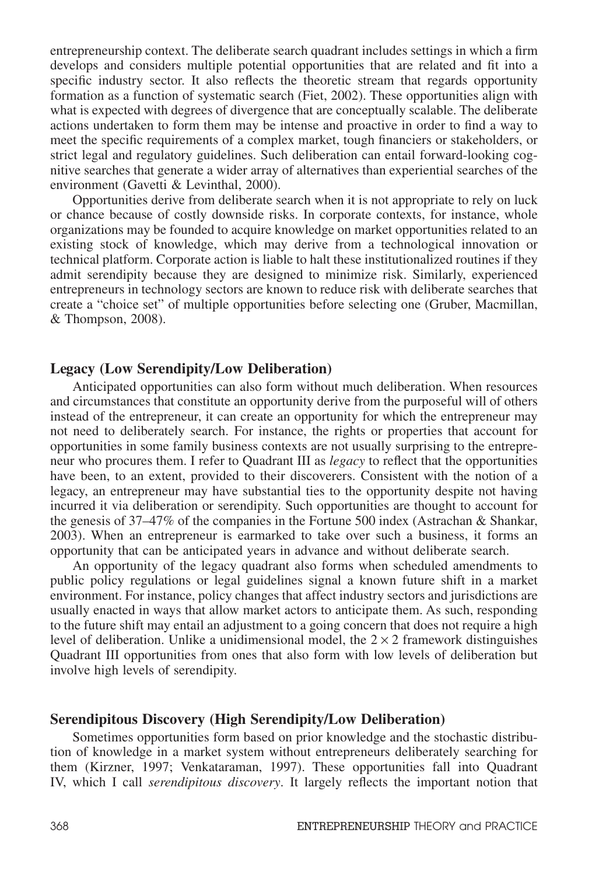entrepreneurship context. The deliberate search quadrant includes settings in which a firm develops and considers multiple potential opportunities that are related and fit into a specific industry sector. It also reflects the theoretic stream that regards opportunity formation as a function of systematic search (Fiet, 2002). These opportunities align with what is expected with degrees of divergence that are conceptually scalable. The deliberate actions undertaken to form them may be intense and proactive in order to find a way to meet the specific requirements of a complex market, tough financiers or stakeholders, or strict legal and regulatory guidelines. Such deliberation can entail forward-looking cognitive searches that generate a wider array of alternatives than experiential searches of the environment (Gavetti & Levinthal, 2000).

Opportunities derive from deliberate search when it is not appropriate to rely on luck or chance because of costly downside risks. In corporate contexts, for instance, whole organizations may be founded to acquire knowledge on market opportunities related to an existing stock of knowledge, which may derive from a technological innovation or technical platform. Corporate action is liable to halt these institutionalized routines if they admit serendipity because they are designed to minimize risk. Similarly, experienced entrepreneurs in technology sectors are known to reduce risk with deliberate searches that create a "choice set" of multiple opportunities before selecting one (Gruber, Macmillan, & Thompson, 2008).

### **Legacy (Low Serendipity/Low Deliberation)**

Anticipated opportunities can also form without much deliberation. When resources and circumstances that constitute an opportunity derive from the purposeful will of others instead of the entrepreneur, it can create an opportunity for which the entrepreneur may not need to deliberately search. For instance, the rights or properties that account for opportunities in some family business contexts are not usually surprising to the entrepreneur who procures them. I refer to Quadrant III as *legacy* to reflect that the opportunities have been, to an extent, provided to their discoverers. Consistent with the notion of a legacy, an entrepreneur may have substantial ties to the opportunity despite not having incurred it via deliberation or serendipity. Such opportunities are thought to account for the genesis of 37–47% of the companies in the Fortune 500 index (Astrachan & Shankar, 2003). When an entrepreneur is earmarked to take over such a business, it forms an opportunity that can be anticipated years in advance and without deliberate search.

An opportunity of the legacy quadrant also forms when scheduled amendments to public policy regulations or legal guidelines signal a known future shift in a market environment. For instance, policy changes that affect industry sectors and jurisdictions are usually enacted in ways that allow market actors to anticipate them. As such, responding to the future shift may entail an adjustment to a going concern that does not require a high level of deliberation. Unlike a unidimensional model, the  $2 \times 2$  framework distinguishes Quadrant III opportunities from ones that also form with low levels of deliberation but involve high levels of serendipity.

#### **Serendipitous Discovery (High Serendipity/Low Deliberation)**

Sometimes opportunities form based on prior knowledge and the stochastic distribution of knowledge in a market system without entrepreneurs deliberately searching for them (Kirzner, 1997; Venkataraman, 1997). These opportunities fall into Quadrant IV, which I call *serendipitous discovery*. It largely reflects the important notion that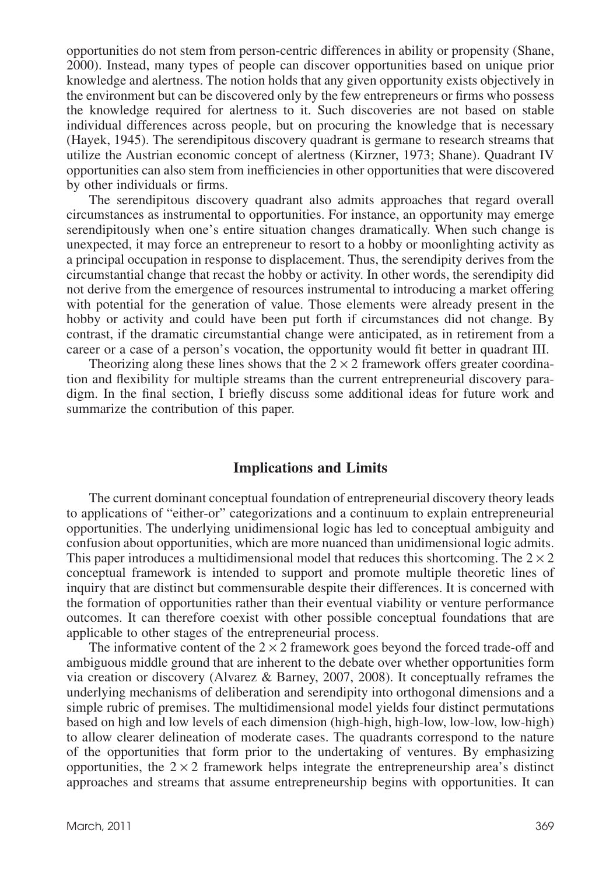opportunities do not stem from person-centric differences in ability or propensity (Shane, 2000). Instead, many types of people can discover opportunities based on unique prior knowledge and alertness. The notion holds that any given opportunity exists objectively in the environment but can be discovered only by the few entrepreneurs or firms who possess the knowledge required for alertness to it. Such discoveries are not based on stable individual differences across people, but on procuring the knowledge that is necessary (Hayek, 1945). The serendipitous discovery quadrant is germane to research streams that utilize the Austrian economic concept of alertness (Kirzner, 1973; Shane). Quadrant IV opportunities can also stem from inefficiencies in other opportunities that were discovered by other individuals or firms.

The serendipitous discovery quadrant also admits approaches that regard overall circumstances as instrumental to opportunities. For instance, an opportunity may emerge serendipitously when one's entire situation changes dramatically. When such change is unexpected, it may force an entrepreneur to resort to a hobby or moonlighting activity as a principal occupation in response to displacement. Thus, the serendipity derives from the circumstantial change that recast the hobby or activity. In other words, the serendipity did not derive from the emergence of resources instrumental to introducing a market offering with potential for the generation of value. Those elements were already present in the hobby or activity and could have been put forth if circumstances did not change. By contrast, if the dramatic circumstantial change were anticipated, as in retirement from a career or a case of a person's vocation, the opportunity would fit better in quadrant III.

Theorizing along these lines shows that the  $2 \times 2$  framework offers greater coordination and flexibility for multiple streams than the current entrepreneurial discovery paradigm. In the final section, I briefly discuss some additional ideas for future work and summarize the contribution of this paper.

#### **Implications and Limits**

The current dominant conceptual foundation of entrepreneurial discovery theory leads to applications of "either-or" categorizations and a continuum to explain entrepreneurial opportunities. The underlying unidimensional logic has led to conceptual ambiguity and confusion about opportunities, which are more nuanced than unidimensional logic admits. This paper introduces a multidimensional model that reduces this shortcoming. The  $2 \times 2$ conceptual framework is intended to support and promote multiple theoretic lines of inquiry that are distinct but commensurable despite their differences. It is concerned with the formation of opportunities rather than their eventual viability or venture performance outcomes. It can therefore coexist with other possible conceptual foundations that are applicable to other stages of the entrepreneurial process.

The informative content of the  $2 \times 2$  framework goes beyond the forced trade-off and ambiguous middle ground that are inherent to the debate over whether opportunities form via creation or discovery (Alvarez & Barney, 2007, 2008). It conceptually reframes the underlying mechanisms of deliberation and serendipity into orthogonal dimensions and a simple rubric of premises. The multidimensional model yields four distinct permutations based on high and low levels of each dimension (high-high, high-low, low-low, low-high) to allow clearer delineation of moderate cases. The quadrants correspond to the nature of the opportunities that form prior to the undertaking of ventures. By emphasizing opportunities, the  $2 \times 2$  framework helps integrate the entrepreneurship area's distinct approaches and streams that assume entrepreneurship begins with opportunities. It can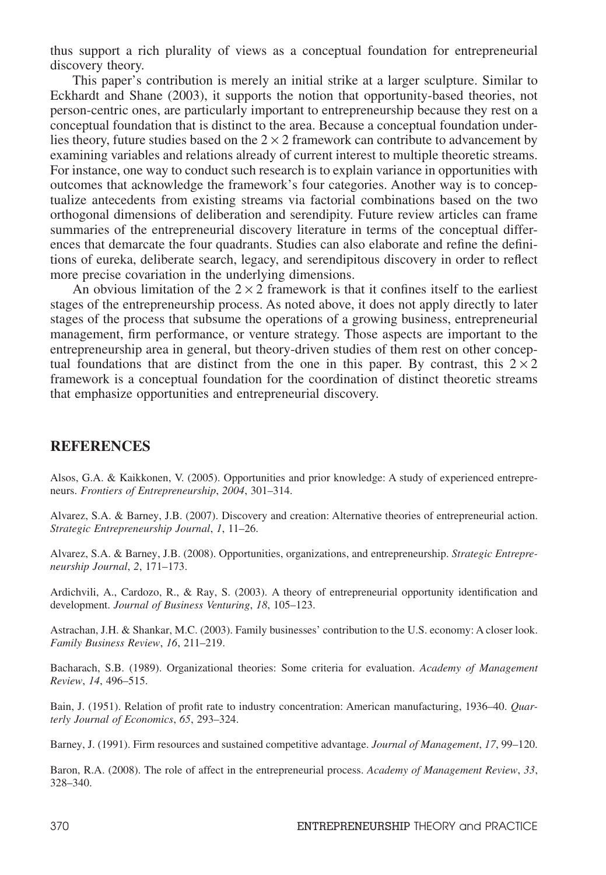thus support a rich plurality of views as a conceptual foundation for entrepreneurial discovery theory.

This paper's contribution is merely an initial strike at a larger sculpture. Similar to Eckhardt and Shane (2003), it supports the notion that opportunity-based theories, not person-centric ones, are particularly important to entrepreneurship because they rest on a conceptual foundation that is distinct to the area. Because a conceptual foundation underlies theory, future studies based on the  $2 \times 2$  framework can contribute to advancement by examining variables and relations already of current interest to multiple theoretic streams. For instance, one way to conduct such research is to explain variance in opportunities with outcomes that acknowledge the framework's four categories. Another way is to conceptualize antecedents from existing streams via factorial combinations based on the two orthogonal dimensions of deliberation and serendipity. Future review articles can frame summaries of the entrepreneurial discovery literature in terms of the conceptual differences that demarcate the four quadrants. Studies can also elaborate and refine the definitions of eureka, deliberate search, legacy, and serendipitous discovery in order to reflect more precise covariation in the underlying dimensions.

An obvious limitation of the  $2 \times 2$  framework is that it confines itself to the earliest stages of the entrepreneurship process. As noted above, it does not apply directly to later stages of the process that subsume the operations of a growing business, entrepreneurial management, firm performance, or venture strategy. Those aspects are important to the entrepreneurship area in general, but theory-driven studies of them rest on other conceptual foundations that are distinct from the one in this paper. By contrast, this  $2 \times 2$ framework is a conceptual foundation for the coordination of distinct theoretic streams that emphasize opportunities and entrepreneurial discovery.

# **REFERENCES**

Alsos, G.A. & Kaikkonen, V. (2005). Opportunities and prior knowledge: A study of experienced entrepreneurs. *Frontiers of Entrepreneurship*, *2004*, 301–314.

Alvarez, S.A. & Barney, J.B. (2007). Discovery and creation: Alternative theories of entrepreneurial action. *Strategic Entrepreneurship Journal*, *1*, 11–26.

Alvarez, S.A. & Barney, J.B. (2008). Opportunities, organizations, and entrepreneurship. *Strategic Entrepreneurship Journal*, *2*, 171–173.

Ardichvili, A., Cardozo, R., & Ray, S. (2003). A theory of entrepreneurial opportunity identification and development. *Journal of Business Venturing*, *18*, 105–123.

Astrachan, J.H. & Shankar, M.C. (2003). Family businesses' contribution to the U.S. economy: A closer look. *Family Business Review*, *16*, 211–219.

Bacharach, S.B. (1989). Organizational theories: Some criteria for evaluation. *Academy of Management Review*, *14*, 496–515.

Bain, J. (1951). Relation of profit rate to industry concentration: American manufacturing, 1936–40. *Quarterly Journal of Economics*, *65*, 293–324.

Barney, J. (1991). Firm resources and sustained competitive advantage. *Journal of Management*, *17*, 99–120.

Baron, R.A. (2008). The role of affect in the entrepreneurial process. *Academy of Management Review*, *33*, 328–340.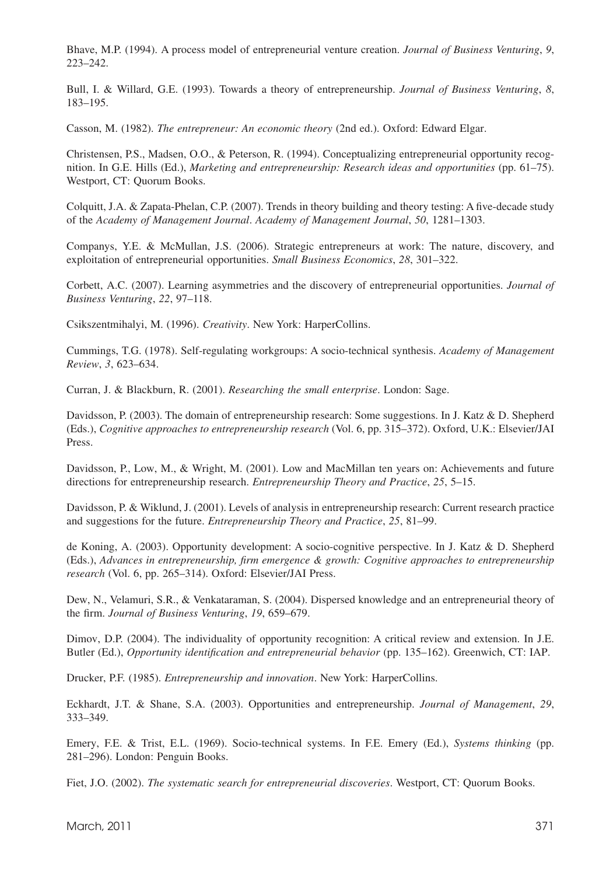Bhave, M.P. (1994). A process model of entrepreneurial venture creation. *Journal of Business Venturing*, *9*, 223–242.

Bull, I. & Willard, G.E. (1993). Towards a theory of entrepreneurship. *Journal of Business Venturing*, *8*, 183–195.

Casson, M. (1982). *The entrepreneur: An economic theory* (2nd ed.). Oxford: Edward Elgar.

Christensen, P.S., Madsen, O.O., & Peterson, R. (1994). Conceptualizing entrepreneurial opportunity recognition. In G.E. Hills (Ed.), *Marketing and entrepreneurship: Research ideas and opportunities* (pp. 61–75). Westport, CT: Quorum Books.

Colquitt, J.A. & Zapata-Phelan, C.P. (2007). Trends in theory building and theory testing: A five-decade study of the *Academy of Management Journal*. *Academy of Management Journal*, *50*, 1281–1303.

Companys, Y.E. & McMullan, J.S. (2006). Strategic entrepreneurs at work: The nature, discovery, and exploitation of entrepreneurial opportunities. *Small Business Economics*, *28*, 301–322.

Corbett, A.C. (2007). Learning asymmetries and the discovery of entrepreneurial opportunities. *Journal of Business Venturing*, *22*, 97–118.

Csikszentmihalyi, M. (1996). *Creativity*. New York: HarperCollins.

Cummings, T.G. (1978). Self-regulating workgroups: A socio-technical synthesis. *Academy of Management Review*, *3*, 623–634.

Curran, J. & Blackburn, R. (2001). *Researching the small enterprise*. London: Sage.

Davidsson, P. (2003). The domain of entrepreneurship research: Some suggestions. In J. Katz & D. Shepherd (Eds.), *Cognitive approaches to entrepreneurship research* (Vol. 6, pp. 315–372). Oxford, U.K.: Elsevier/JAI Press.

Davidsson, P., Low, M., & Wright, M. (2001). Low and MacMillan ten years on: Achievements and future directions for entrepreneurship research. *Entrepreneurship Theory and Practice*, *25*, 5–15.

Davidsson, P. & Wiklund, J. (2001). Levels of analysis in entrepreneurship research: Current research practice and suggestions for the future. *Entrepreneurship Theory and Practice*, *25*, 81–99.

de Koning, A. (2003). Opportunity development: A socio-cognitive perspective. In J. Katz & D. Shepherd (Eds.), *Advances in entrepreneurship, firm emergence & growth: Cognitive approaches to entrepreneurship research* (Vol. 6, pp. 265–314). Oxford: Elsevier/JAI Press.

Dew, N., Velamuri, S.R., & Venkataraman, S. (2004). Dispersed knowledge and an entrepreneurial theory of the firm. *Journal of Business Venturing*, *19*, 659–679.

Dimov, D.P. (2004). The individuality of opportunity recognition: A critical review and extension. In J.E. Butler (Ed.), *Opportunity identification and entrepreneurial behavior* (pp. 135–162). Greenwich, CT: IAP.

Drucker, P.F. (1985). *Entrepreneurship and innovation*. New York: HarperCollins.

Eckhardt, J.T. & Shane, S.A. (2003). Opportunities and entrepreneurship. *Journal of Management*, *29*, 333–349.

Emery, F.E. & Trist, E.L. (1969). Socio-technical systems. In F.E. Emery (Ed.), *Systems thinking* (pp. 281–296). London: Penguin Books.

Fiet, J.O. (2002). *The systematic search for entrepreneurial discoveries*. Westport, CT: Quorum Books.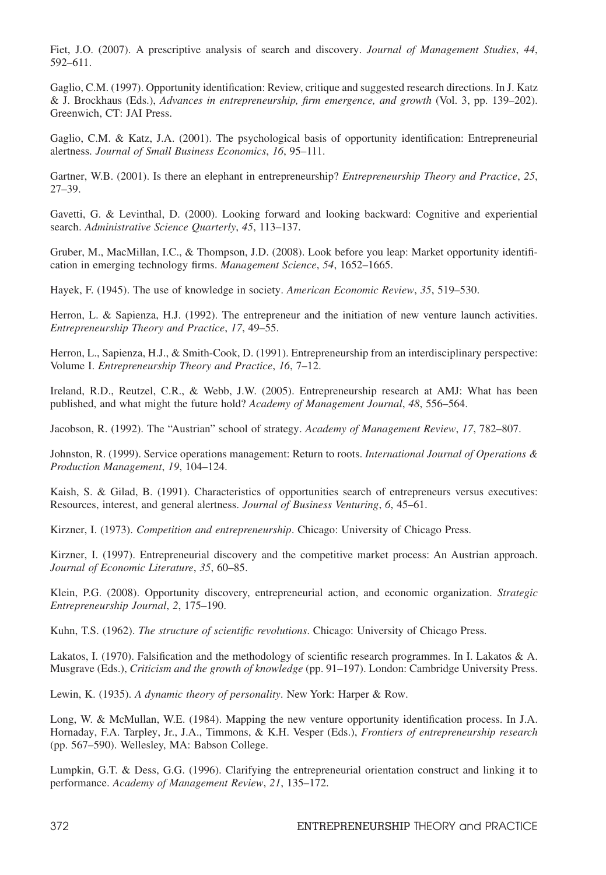Fiet, J.O. (2007). A prescriptive analysis of search and discovery. *Journal of Management Studies*, *44*, 592–611.

Gaglio, C.M. (1997). Opportunity identification: Review, critique and suggested research directions. In J. Katz & J. Brockhaus (Eds.), *Advances in entrepreneurship, firm emergence, and growth* (Vol. 3, pp. 139–202). Greenwich, CT: JAI Press.

Gaglio, C.M. & Katz, J.A. (2001). The psychological basis of opportunity identification: Entrepreneurial alertness. *Journal of Small Business Economics*, *16*, 95–111.

Gartner, W.B. (2001). Is there an elephant in entrepreneurship? *Entrepreneurship Theory and Practice*, *25*, 27–39.

Gavetti, G. & Levinthal, D. (2000). Looking forward and looking backward: Cognitive and experiential search. *Administrative Science Quarterly*, *45*, 113–137.

Gruber, M., MacMillan, I.C., & Thompson, J.D. (2008). Look before you leap: Market opportunity identification in emerging technology firms. *Management Science*, *54*, 1652–1665.

Hayek, F. (1945). The use of knowledge in society. *American Economic Review*, *35*, 519–530.

Herron, L. & Sapienza, H.J. (1992). The entrepreneur and the initiation of new venture launch activities. *Entrepreneurship Theory and Practice*, *17*, 49–55.

Herron, L., Sapienza, H.J., & Smith-Cook, D. (1991). Entrepreneurship from an interdisciplinary perspective: Volume I. *Entrepreneurship Theory and Practice*, *16*, 7–12.

Ireland, R.D., Reutzel, C.R., & Webb, J.W. (2005). Entrepreneurship research at AMJ: What has been published, and what might the future hold? *Academy of Management Journal*, *48*, 556–564.

Jacobson, R. (1992). The "Austrian" school of strategy. *Academy of Management Review*, *17*, 782–807.

Johnston, R. (1999). Service operations management: Return to roots. *International Journal of Operations & Production Management*, *19*, 104–124.

Kaish, S. & Gilad, B. (1991). Characteristics of opportunities search of entrepreneurs versus executives: Resources, interest, and general alertness. *Journal of Business Venturing*, *6*, 45–61.

Kirzner, I. (1973). *Competition and entrepreneurship*. Chicago: University of Chicago Press.

Kirzner, I. (1997). Entrepreneurial discovery and the competitive market process: An Austrian approach. *Journal of Economic Literature*, *35*, 60–85.

Klein, P.G. (2008). Opportunity discovery, entrepreneurial action, and economic organization. *Strategic Entrepreneurship Journal*, *2*, 175–190.

Kuhn, T.S. (1962). *The structure of scientific revolutions*. Chicago: University of Chicago Press.

Lakatos, I. (1970). Falsification and the methodology of scientific research programmes. In I. Lakatos & A. Musgrave (Eds.), *Criticism and the growth of knowledge* (pp. 91–197). London: Cambridge University Press.

Lewin, K. (1935). *A dynamic theory of personality*. New York: Harper & Row.

Long, W. & McMullan, W.E. (1984). Mapping the new venture opportunity identification process. In J.A. Hornaday, F.A. Tarpley, Jr., J.A., Timmons, & K.H. Vesper (Eds.), *Frontiers of entrepreneurship research* (pp. 567–590). Wellesley, MA: Babson College.

Lumpkin, G.T. & Dess, G.G. (1996). Clarifying the entrepreneurial orientation construct and linking it to performance. *Academy of Management Review*, *21*, 135–172.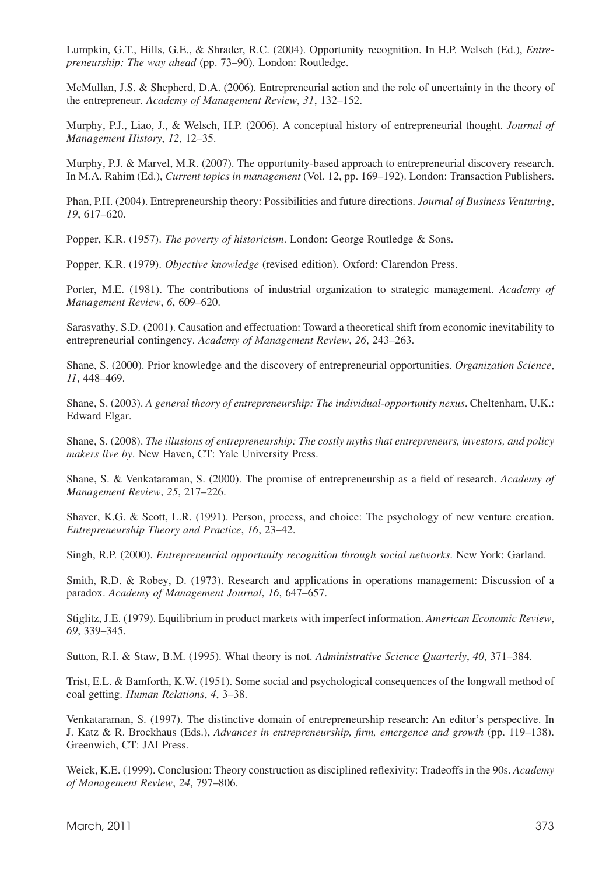Lumpkin, G.T., Hills, G.E., & Shrader, R.C. (2004). Opportunity recognition. In H.P. Welsch (Ed.), *Entrepreneurship: The way ahead* (pp. 73–90). London: Routledge.

McMullan, J.S. & Shepherd, D.A. (2006). Entrepreneurial action and the role of uncertainty in the theory of the entrepreneur. *Academy of Management Review*, *31*, 132–152.

Murphy, P.J., Liao, J., & Welsch, H.P. (2006). A conceptual history of entrepreneurial thought. *Journal of Management History*, *12*, 12–35.

Murphy, P.J. & Marvel, M.R. (2007). The opportunity-based approach to entrepreneurial discovery research. In M.A. Rahim (Ed.), *Current topics in management* (Vol. 12, pp. 169–192). London: Transaction Publishers.

Phan, P.H. (2004). Entrepreneurship theory: Possibilities and future directions. *Journal of Business Venturing*, *19*, 617–620.

Popper, K.R. (1957). *The poverty of historicism*. London: George Routledge & Sons.

Popper, K.R. (1979). *Objective knowledge* (revised edition). Oxford: Clarendon Press.

Porter, M.E. (1981). The contributions of industrial organization to strategic management. *Academy of Management Review*, *6*, 609–620.

Sarasvathy, S.D. (2001). Causation and effectuation: Toward a theoretical shift from economic inevitability to entrepreneurial contingency. *Academy of Management Review*, *26*, 243–263.

Shane, S. (2000). Prior knowledge and the discovery of entrepreneurial opportunities. *Organization Science*, *11*, 448–469.

Shane, S. (2003). *A general theory of entrepreneurship: The individual-opportunity nexus*. Cheltenham, U.K.: Edward Elgar.

Shane, S. (2008). *The illusions of entrepreneurship: The costly myths that entrepreneurs, investors, and policy makers live by*. New Haven, CT: Yale University Press.

Shane, S. & Venkataraman, S. (2000). The promise of entrepreneurship as a field of research. *Academy of Management Review*, *25*, 217–226.

Shaver, K.G. & Scott, L.R. (1991). Person, process, and choice: The psychology of new venture creation. *Entrepreneurship Theory and Practice*, *16*, 23–42.

Singh, R.P. (2000). *Entrepreneurial opportunity recognition through social networks*. New York: Garland.

Smith, R.D. & Robey, D. (1973). Research and applications in operations management: Discussion of a paradox. *Academy of Management Journal*, *16*, 647–657.

Stiglitz, J.E. (1979). Equilibrium in product markets with imperfect information. *American Economic Review*, *69*, 339–345.

Sutton, R.I. & Staw, B.M. (1995). What theory is not. *Administrative Science Quarterly*, *40*, 371–384.

Trist, E.L. & Bamforth, K.W. (1951). Some social and psychological consequences of the longwall method of coal getting. *Human Relations*, *4*, 3–38.

Venkataraman, S. (1997). The distinctive domain of entrepreneurship research: An editor's perspective. In J. Katz & R. Brockhaus (Eds.), *Advances in entrepreneurship, firm, emergence and growth* (pp. 119–138). Greenwich, CT: JAI Press.

Weick, K.E. (1999). Conclusion: Theory construction as disciplined reflexivity: Tradeoffs in the 90s. *Academy of Management Review*, *24*, 797–806.